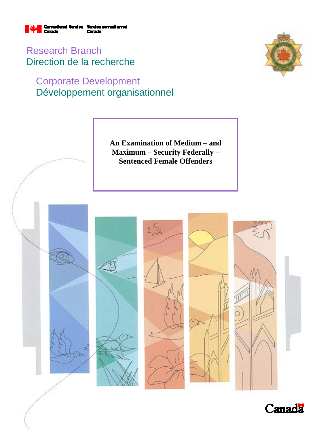

Research Branch Direction de la recherche

# Corporate Development Développement organisationnel





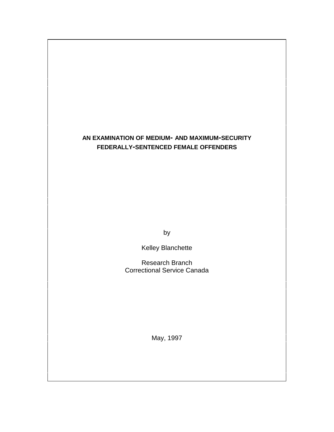# **AN EXAMINATION OF MEDIUM- AND MAXIMUM-SECURITY FEDERALLY-SENTENCED FEMALE OFFENDERS**

by

Kelley Blanchette

Research Branch Correctional Service Canada

May, 1997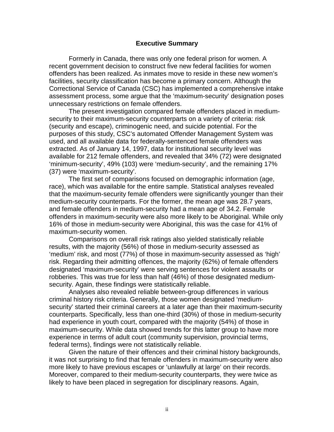## **Executive Summary**

Formerly in Canada, there was only one federal prison for women. A recent government decision to construct five new federal facilities for women offenders has been realized. As inmates move to reside in these new women's facilities, security classification has become a primary concern. Although the Correctional Service of Canada (CSC) has implemented a comprehensive intake assessment process, some argue that the 'maximum-security' designation poses unnecessary restrictions on female offenders.

The present investigation compared female offenders placed in mediumsecurity to their maximum-security counterparts on a variety of criteria: risk (security and escape), criminogenic need, and suicide potential. For the purposes of this study, CSC's automated Offender Management System was used, and all available data for federally-sentenced female offenders was extracted. As of January 14, 1997, data for institutional security level was available for 212 female offenders, and revealed that 34% (72) were designated 'minimum-security', 49% (103) were 'medium-security', and the remaining 17% (37) were 'maximum-security'.

The first set of comparisons focused on demographic information (age, race), which was available for the entire sample. Statistical analyses revealed that the maximum-security female offenders were significantly younger than their medium-security counterparts. For the former, the mean age was 28.7 years, and female offenders in medium-security had a mean age of 34.2. Female offenders in maximum-security were also more likely to be Aboriginal. While only 16% of those in medium-security were Aboriginal, this was the case for 41% of maximum-security women.

Comparisons on overall risk ratings also yielded statistically reliable results, with the majority (56%) of those in medium-security assessed as 'medium' risk, and most (77%) of those in maximum-security assessed as 'high' risk. Regarding their admitting offences, the majority (62%) of female offenders designated 'maximum-security' were serving sentences for violent assaults or robberies. This was true for less than half (46%) of those designated mediumsecurity. Again, these findings were statistically reliable.

Analyses also revealed reliable between-group differences in various criminal history risk criteria. Generally, those women designated 'mediumsecurity' started their criminal careers at a later age than their maximum-security counterparts. Specifically, less than one-third (30%) of those in medium-security had experience in youth court, compared with the majority (54%) of those in maximum-security. While data showed trends for this latter group to have more experience in terms of adult court (community supervision, provincial terms, federal terms), findings were not statistically reliable.

Given the nature of their offences and their criminal history backgrounds, it was not surprising to find that female offenders in maximum-security were also more likely to have previous escapes or 'unlawfully at large' on their records. Moreover, compared to their medium-security counterparts, they were twice as likely to have been placed in segregation for disciplinary reasons. Again,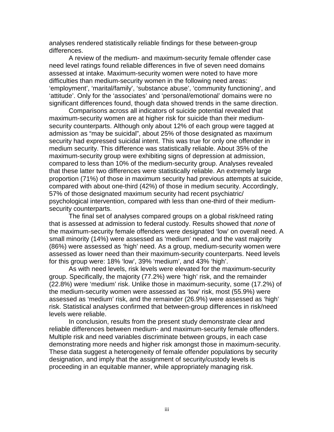analyses rendered statistically reliable findings for these between-group differences.

A review of the medium- and maximum-security female offender case need level ratings found reliable differences in five of seven need domains assessed at intake. Maximum-security women were noted to have more difficulties than medium-security women in the following need areas: 'employment', 'marital/family', 'substance abuse', 'community functioning', and 'attitude'. Only for the 'associates' and 'personal/emotional' domains were no significant differences found, though data showed trends in the same direction.

Comparisons across all indicators of suicide potential revealed that maximum-security women are at higher risk for suicide than their mediumsecurity counterparts. Although only about 12% of each group were tagged at admission as "may be suicidal", about 25% of those designated as maximum security had expressed suicidal intent. This was true for only one offender in medium security. This difference was statistically reliable. About 35% of the maximum-security group were exhibiting signs of depression at admission, compared to less than 10% of the medium-security group. Analyses revealed that these latter two differences were statistically reliable. An extremely large proportion (71%) of those in maximum security had previous attempts at suicide, compared with about one-third (42%) of those in medium security. Accordingly, 57% of those designated maximum security had recent psychiatric/ psychological intervention, compared with less than one-third of their mediumsecurity counterparts.

The final set of analyses compared groups on a global risk/need rating that is assessed at admission to federal custody. Results showed that none of the maximum-security female offenders were designated 'low' on overall need. A small minority (14%) were assessed as 'medium' need, and the vast majority (86%) were assessed as 'high' need. As a group, medium-security women were assessed as lower need than their maximum-security counterparts. Need levels for this group were: 18% 'low', 39% 'medium', and 43% 'high'.

As with need levels, risk levels were elevated for the maximum-security group. Specifically, the majority (77.2%) were 'high' risk, and the remainder (22.8%) were 'medium' risk. Unlike those in maximum-security, some (17.2%) of the medium-security women were assessed as 'low' risk, most (55.9%) were assessed as 'medium' risk, and the remainder (26.9%) were assessed as 'high' risk. Statistical analyses confirmed that between-group differences in risk/need levels were reliable.

In conclusion, results from the present study demonstrate clear and reliable differences between medium- and maximum-security female offenders. Multiple risk and need variables discriminate between groups, in each case demonstrating more needs and higher risk amongst those in maximum-security. These data suggest a heterogeneity of female offender populations by security designation, and imply that the assignment of security/custody levels is proceeding in an equitable manner, while appropriately managing risk.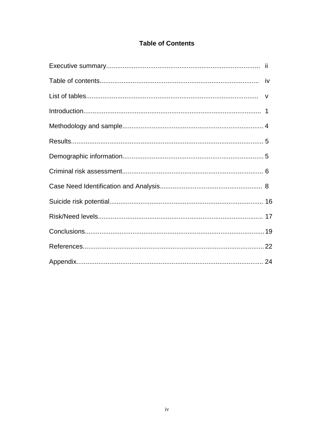# **Table of Contents**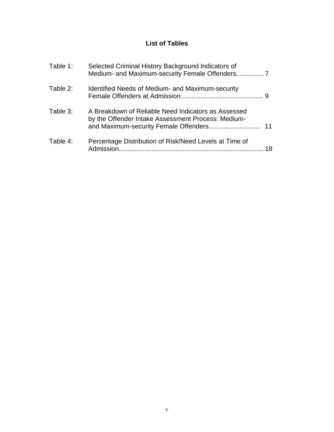# **List of Tables**

| Table 1: | Selected Criminal History Background Indicators of<br>Medium- and Maximum-security Female Offenders 7     |    |
|----------|-----------------------------------------------------------------------------------------------------------|----|
| Table 2: | Identified Needs of Medium- and Maximum-security                                                          |    |
| Table 3: | A Breakdown of Reliable Need Indicators as Assessed<br>by the Offender Intake Assessment Process: Medium- | 11 |
| Table 4: | Percentage Distribution of Risk/Need Levels at Time of                                                    | 18 |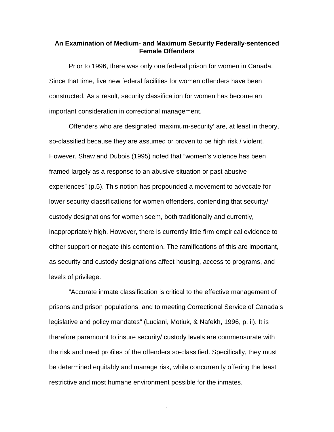## **An Examination of Medium- and Maximum Security Federally-sentenced Female Offenders**

Prior to 1996, there was only one federal prison for women in Canada. Since that time, five new federal facilities for women offenders have been constructed. As a result, security classification for women has become an important consideration in correctional management.

Offenders who are designated 'maximum-security' are, at least in theory, so-classified because they are assumed or proven to be high risk / violent. However, Shaw and Dubois (1995) noted that "women's violence has been framed largely as a response to an abusive situation or past abusive experiences" (p.5). This notion has propounded a movement to advocate for lower security classifications for women offenders, contending that security/ custody designations for women seem, both traditionally and currently, inappropriately high. However, there is currently little firm empirical evidence to either support or negate this contention. The ramifications of this are important, as security and custody designations affect housing, access to programs, and levels of privilege.

"Accurate inmate classification is critical to the effective management of prisons and prison populations, and to meeting Correctional Service of Canada's legislative and policy mandates" (Luciani, Motiuk, & Nafekh, 1996, p. ii). It is therefore paramount to insure security/ custody levels are commensurate with the risk and need profiles of the offenders so-classified. Specifically, they must be determined equitably and manage risk, while concurrently offering the least restrictive and most humane environment possible for the inmates.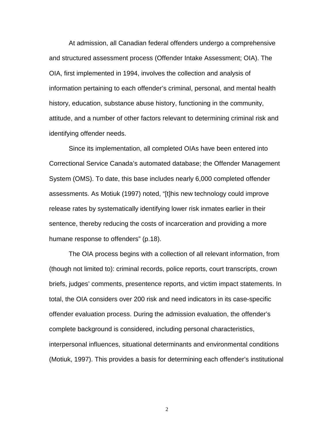At admission, all Canadian federal offenders undergo a comprehensive and structured assessment process (Offender Intake Assessment; OIA). The OIA, first implemented in 1994, involves the collection and analysis of information pertaining to each offender's criminal, personal, and mental health history, education, substance abuse history, functioning in the community, attitude, and a number of other factors relevant to determining criminal risk and identifying offender needs.

Since its implementation, all completed OIAs have been entered into Correctional Service Canada's automated database; the Offender Management System (OMS). To date, this base includes nearly 6,000 completed offender assessments. As Motiuk (1997) noted, "[t]his new technology could improve release rates by systematically identifying lower risk inmates earlier in their sentence, thereby reducing the costs of incarceration and providing a more humane response to offenders" (p.18).

The OIA process begins with a collection of all relevant information, from (though not limited to): criminal records, police reports, court transcripts, crown briefs, judges' comments, presentence reports, and victim impact statements. In total, the OIA considers over 200 risk and need indicators in its case-specific offender evaluation process. During the admission evaluation, the offender's complete background is considered, including personal characteristics, interpersonal influences, situational determinants and environmental conditions (Motiuk, 1997). This provides a basis for determining each offender's institutional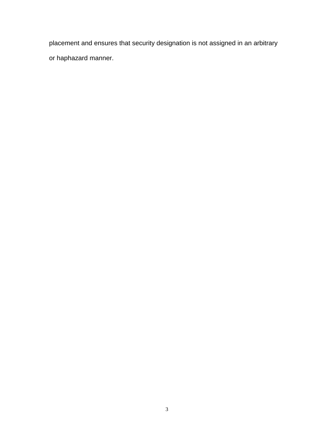placement and ensures that security designation is not assigned in an arbitrary or haphazard manner.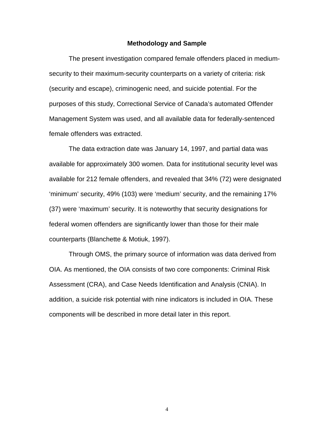#### **Methodology and Sample**

The present investigation compared female offenders placed in mediumsecurity to their maximum-security counterparts on a variety of criteria: risk (security and escape), criminogenic need, and suicide potential. For the purposes of this study, Correctional Service of Canada's automated Offender Management System was used, and all available data for federally-sentenced female offenders was extracted.

The data extraction date was January 14, 1997, and partial data was available for approximately 300 women. Data for institutional security level was available for 212 female offenders, and revealed that 34% (72) were designated 'minimum' security, 49% (103) were 'medium' security, and the remaining 17% (37) were 'maximum' security. It is noteworthy that security designations for federal women offenders are significantly lower than those for their male counterparts (Blanchette & Motiuk, 1997).

Through OMS, the primary source of information was data derived from OIA. As mentioned, the OIA consists of two core components: Criminal Risk Assessment (CRA), and Case Needs Identification and Analysis (CNIA). In addition, a suicide risk potential with nine indicators is included in OIA. These components will be described in more detail later in this report.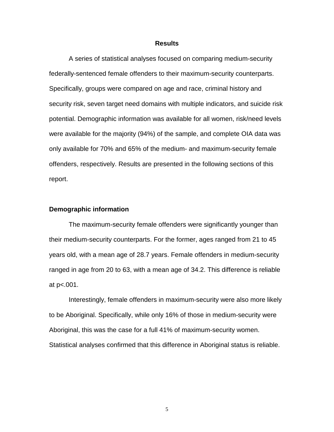## **Results**

A series of statistical analyses focused on comparing medium-security federally-sentenced female offenders to their maximum-security counterparts. Specifically, groups were compared on age and race, criminal history and security risk, seven target need domains with multiple indicators, and suicide risk potential. Demographic information was available for all women, risk/need levels were available for the majority (94%) of the sample, and complete OIA data was only available for 70% and 65% of the medium- and maximum-security female offenders, respectively. Results are presented in the following sections of this report.

### **Demographic information**

The maximum-security female offenders were significantly younger than their medium-security counterparts. For the former, ages ranged from 21 to 45 years old, with a mean age of 28.7 years. Female offenders in medium-security ranged in age from 20 to 63, with a mean age of 34.2. This difference is reliable at p<.001.

Interestingly, female offenders in maximum-security were also more likely to be Aboriginal. Specifically, while only 16% of those in medium-security were Aboriginal, this was the case for a full 41% of maximum-security women. Statistical analyses confirmed that this difference in Aboriginal status is reliable.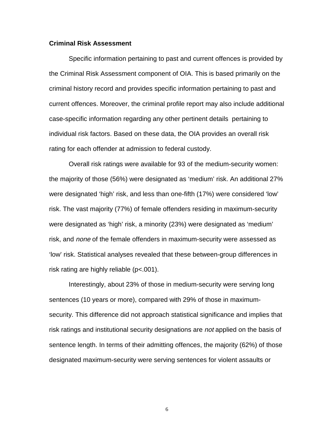## **Criminal Risk Assessment**

Specific information pertaining to past and current offences is provided by the Criminal Risk Assessment component of OIA. This is based primarily on the criminal history record and provides specific information pertaining to past and current offences. Moreover, the criminal profile report may also include additional case-specific information regarding any other pertinent details pertaining to individual risk factors. Based on these data, the OIA provides an overall risk rating for each offender at admission to federal custody.

Overall risk ratings were available for 93 of the medium-security women: the majority of those (56%) were designated as 'medium' risk. An additional 27% were designated 'high' risk, and less than one-fifth (17%) were considered 'low' risk. The vast majority (77%) of female offenders residing in maximum-security were designated as 'high' risk, a minority (23%) were designated as 'medium' risk, and none of the female offenders in maximum-security were assessed as 'low' risk. Statistical analyses revealed that these between-group differences in risk rating are highly reliable (p<.001).

Interestingly, about 23% of those in medium-security were serving long sentences (10 years or more), compared with 29% of those in maximumsecurity. This difference did not approach statistical significance and implies that risk ratings and institutional security designations are not applied on the basis of sentence length. In terms of their admitting offences, the majority (62%) of those designated maximum-security were serving sentences for violent assaults or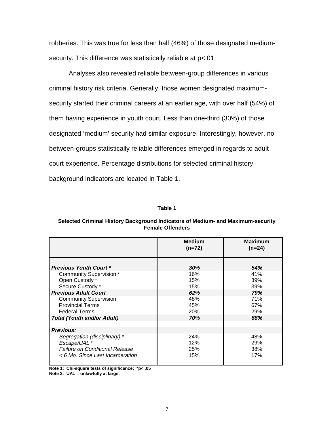robberies. This was true for less than half (46%) of those designated mediumsecurity. This difference was statistically reliable at p<.01.

Analyses also revealed reliable between-group differences in various criminal history risk criteria. Generally, those women designated maximumsecurity started their criminal careers at an earlier age, with over half (54%) of them having experience in youth court. Less than one-third (30%) of those designated 'medium' security had similar exposure. Interestingly, however, no between-groups statistically reliable differences emerged in regards to adult court experience. Percentage distributions for selected criminal history background indicators are located in Table 1.

#### **Table 1**

#### **Selected Criminal History Background Indicators of Medium- and Maximum-security Female Offenders**

|                                                                                                                           | <b>Medium</b><br>$(n=72)$ | <b>Maximum</b><br>$(n=24)$ |
|---------------------------------------------------------------------------------------------------------------------------|---------------------------|----------------------------|
| <b>Previous Youth Court *</b>                                                                                             | 30%                       | 54%                        |
| <b>Community Supervision *</b><br>Open Custody *<br>Secure Custody*                                                       | 16%<br>15%<br>15%         | 41%<br>39%<br>39%          |
| <b>Previous Adult Court</b>                                                                                               | 62%                       | 79%                        |
| <b>Community Supervision</b><br><b>Provincial Terms</b><br><b>Federal Terms</b>                                           | 48%<br>45%<br><b>20%</b>  | 71%<br>67%<br><b>29%</b>   |
| <b>Total (Youth and/or Adult)</b>                                                                                         | 70%                       | 88%                        |
| <b>Previous:</b>                                                                                                          |                           |                            |
| Segregation (disciplinary) *<br>Escape/UAL *<br><b>Failure on Conditional Release</b><br>< 6 Mo. Since Last Incarceration | 24%<br>12%<br>25%<br>15%  | 48%<br>29%<br>38%<br>17%   |

**Note 1: Chi-square tests of significance; \*p< .05**

**Note 2: UAL = unlawfully at large.**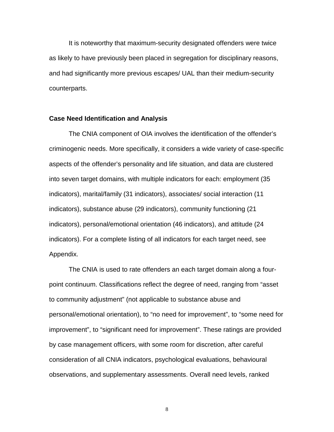It is noteworthy that maximum-security designated offenders were twice as likely to have previously been placed in segregation for disciplinary reasons, and had significantly more previous escapes/ UAL than their medium-security counterparts.

#### **Case Need Identification and Analysis**

The CNIA component of OIA involves the identification of the offender's criminogenic needs. More specifically, it considers a wide variety of case-specific aspects of the offender's personality and life situation, and data are clustered into seven target domains, with multiple indicators for each: employment (35 indicators), marital/family (31 indicators), associates/ social interaction (11 indicators), substance abuse (29 indicators), community functioning (21 indicators), personal/emotional orientation (46 indicators), and attitude (24 indicators). For a complete listing of all indicators for each target need, see Appendix.

The CNIA is used to rate offenders an each target domain along a fourpoint continuum. Classifications reflect the degree of need, ranging from "asset to community adjustment" (not applicable to substance abuse and personal/emotional orientation), to "no need for improvement", to "some need for improvement", to "significant need for improvement". These ratings are provided by case management officers, with some room for discretion, after careful consideration of all CNIA indicators, psychological evaluations, behavioural observations, and supplementary assessments. Overall need levels, ranked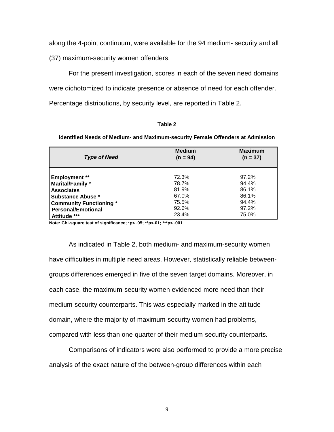along the 4-point continuum, were available for the 94 medium- security and all

(37) maximum-security women offenders.

For the present investigation, scores in each of the seven need domains were dichotomized to indicate presence or absence of need for each offender. Percentage distributions, by security level, are reported in Table 2.

#### **Table 2**

**Identified Needs of Medium- and Maximum-security Female Offenders at Admission**

| <b>Type of Need</b>            | <b>Medium</b><br>$(n = 94)$ | <b>Maximum</b><br>$(n = 37)$ |  |
|--------------------------------|-----------------------------|------------------------------|--|
| <b>Employment</b> **           | 72.3%                       | 97.2%                        |  |
| <b>Marital/Family</b> *        | 78.7%                       | 94.4%                        |  |
| <b>Associates</b>              | 81.9%                       | 86.1%                        |  |
| Substance Abuse *              | 67.0%                       | 86.1%                        |  |
| <b>Community Functioning *</b> | 75.5%                       | 94.4%                        |  |
| <b>Personal/Emotional</b>      | 92.6%                       | 97.2%                        |  |
| Attitude ***                   | 23.4%                       | 75.0%                        |  |

**Note: Chi-square test of significance;** \***p< .05; \*\*p<.01; \*\*\*p< .001**

As indicated in Table 2, both medium- and maximum-security women have difficulties in multiple need areas. However, statistically reliable betweengroups differences emerged in five of the seven target domains. Moreover, in each case, the maximum-security women evidenced more need than their medium-security counterparts. This was especially marked in the attitude domain, where the majority of maximum-security women had problems, compared with less than one-quarter of their medium-security counterparts.

Comparisons of indicators were also performed to provide a more precise analysis of the exact nature of the between-group differences within each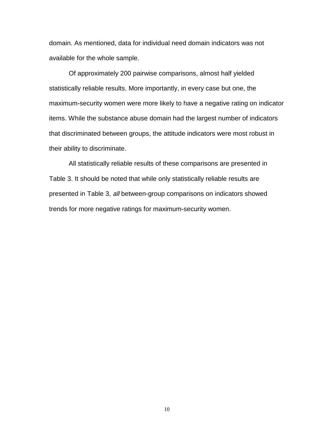domain. As mentioned, data for individual need domain indicators was not available for the whole sample.

Of approximately 200 pairwise comparisons, almost half yielded statistically reliable results. More importantly, in every case but one, the maximum-security women were more likely to have a negative rating on indicator items. While the substance abuse domain had the largest number of indicators that discriminated between groups, the attitude indicators were most robust in their ability to discriminate.

All statistically reliable results of these comparisons are presented in Table 3. It should be noted that while only statistically reliable results are presented in Table 3, all between-group comparisons on indicators showed trends for more negative ratings for maximum-security women.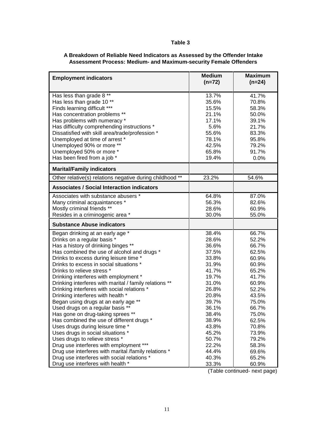## **Table 3**

| A Breakdown of Reliable Need Indicators as Assessed by the Offender Intake |
|----------------------------------------------------------------------------|
| Assessment Process: Medium- and Maximum-security Female Offenders          |

| <b>Employment indicators</b>                                                                        | <b>Medium</b><br>$(n=72)$ | <b>Maximum</b><br>$(n=24)$ |
|-----------------------------------------------------------------------------------------------------|---------------------------|----------------------------|
|                                                                                                     |                           |                            |
| Has less than grade 8 **                                                                            | 13.7%                     | 41.7%                      |
| Has less than grade 10**                                                                            | 35.6%                     | 70.8%                      |
| Finds learning difficult ***                                                                        | 15.5%                     | 58.3%                      |
| Has concentration problems **                                                                       | 21.1%                     | 50.0%                      |
| Has problems with numeracy *                                                                        | 17.1%                     | 39.1%                      |
| Has difficulty comprehending instructions *                                                         | 5.6%                      | 21.7%                      |
| Dissatisfied with skill area/trade/profession *<br>Unemployed at time of arrest *                   | 55.6%<br>78.1%            | 83.3%<br>95.8%             |
| Unemployed 90% or more **                                                                           | 42.5%                     | 79.2%                      |
| Unemployed 50% or more *                                                                            | 65.8%                     | 91.7%                      |
| Has been fired from a job *                                                                         | 19.4%                     | 0.0%                       |
| <b>Marital/Family indicators</b>                                                                    |                           |                            |
|                                                                                                     |                           |                            |
| Other relative(s) relations negative during childhood **                                            | 23.2%                     | 54.6%                      |
| <b>Associates / Social Interaction indicators</b>                                                   |                           |                            |
| Associates with substance abusers *                                                                 | 64.8%                     | 87.0%                      |
| Many criminal acquaintances *                                                                       | 56.3%                     | 82.6%                      |
| Mostly criminal friends **                                                                          | 28.6%                     | 60.9%                      |
| Resides in a criminogenic area *                                                                    | 30.0%                     | 55.0%                      |
|                                                                                                     |                           |                            |
| <b>Substance Abuse indicators</b>                                                                   |                           |                            |
| Began drinking at an early age *                                                                    | 38.4%                     | 66.7%                      |
| Drinks on a regular basis *                                                                         | 28.6%                     | 52.2%                      |
| Has a history of drinking binges **                                                                 | 36.6%                     | 66.7%                      |
| Has combined the use of alcohol and drugs *                                                         | 37.5%                     | 62.5%                      |
| Drinks to excess during leisure time *                                                              | 33.8%                     | 60.9%                      |
| Drinks to excess in social situations *                                                             | 31.9%                     | 60.9%                      |
| Drinks to relieve stress *                                                                          | 41.7%                     | 65.2%                      |
| Drinking interferes with employment *                                                               | 19.7%                     | 41.7%                      |
| Drinking interferes with marital / family relations **                                              | 31.0%                     | 60.9%                      |
| Drinking interferes with social relations *                                                         | 26.8%                     | 52.2%                      |
| Drinking interferes with health *                                                                   | 20.8%                     | 43.5%                      |
| Began using drugs at an early age **                                                                | 39.7%                     | 75.0%                      |
| Used drugs on a regular basis **                                                                    | 36.1%                     | 66.7%                      |
| Has gone on drug-taking sprees **                                                                   | 38.4%                     | 75.0%                      |
| Has combined the use of different drugs *                                                           | 38.9%                     | 62.5%                      |
| Uses drugs during leisure time *                                                                    | 43.8%                     | 70.8%                      |
| Uses drugs in social situations *                                                                   | 45.2%                     | 73.9%                      |
| Uses drugs to relieve stress *                                                                      | 50.7%                     | 79.2%                      |
| Drug use interferes with employment ***                                                             | 22.2%                     | 58.3%                      |
| Drug use interferes with marital /family relations *<br>Drug use interferes with social relations * | 44.4%<br>40.3%            | 69.6%<br>65.2%             |

(Table continued- next page)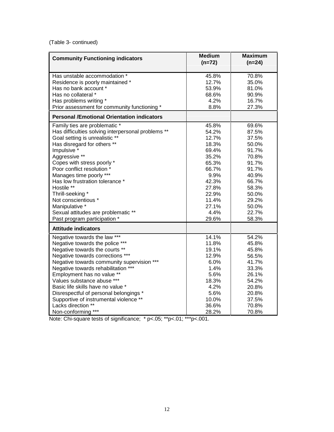(Table 3- continued)

| <b>Community Functioning indicators</b>            | <b>Medium</b><br>$(n=72)$ | <b>Maximum</b><br>$(n=24)$ |  |
|----------------------------------------------------|---------------------------|----------------------------|--|
| Has unstable accommodation *                       | 45.8%                     | 70.8%                      |  |
| Residence is poorly maintained *                   | 12.7%                     | 35.0%                      |  |
| Has no bank account *                              | 53.9%                     | 81.0%                      |  |
| Has no collateral *                                | 68.6%                     | 90.9%                      |  |
| Has problems writing *                             | 4.2%                      | 16.7%                      |  |
| Prior assessment for community functioning *       | 8.8%                      | 27.3%                      |  |
| <b>Personal /Emotional Orientation indicators</b>  |                           |                            |  |
| Family ties are problematic *                      | 45.8%                     | 69.6%                      |  |
| Has difficulties solving interpersonal problems ** | 54.2%                     | 87.5%                      |  |
| Goal setting is unrealistic **                     | 12.7%                     | 37.5%                      |  |
| Has disregard for others **                        | 18.3%                     | 50.0%                      |  |
| Impulsive *                                        | 69.4%                     | 91.7%                      |  |
| Aggressive **                                      | 35.2%                     | 70.8%                      |  |
| Copes with stress poorly *                         | 65.3%                     | 91.7%                      |  |
| Poor conflict resolution *                         | 66.7%                     | 91.7%                      |  |
| Manages time poorly ***                            | 9.9%                      | 40.9%                      |  |
| Has low frustration tolerance *                    | 42.3%                     | 66.7%                      |  |
| Hostile **                                         | 27.8%                     | 58.3%                      |  |
| Thrill-seeking *                                   | 22.9%                     | 50.0%                      |  |
| Not conscientious *                                | 11.4%                     | 29.2%                      |  |
| Manipulative *                                     | 27.1%                     | 50.0%                      |  |
| Sexual attitudes are problematic **                | 4.4%                      | 22.7%                      |  |
| Past program participation *                       | 29.6%                     | 58.3%                      |  |
| <b>Attitude indicators</b>                         |                           |                            |  |
| Negative towards the law ***                       | 14.1%                     | 54.2%                      |  |
| Negative towards the police ***                    | 11.8%                     | 45.8%                      |  |
| Negative towards the courts **                     | 19.1%                     | 45.8%                      |  |
| Negative towards corrections ***                   | 12.9%                     | 56.5%                      |  |
| Negative towards community supervision ***         | 6.0%                      | 41.7%                      |  |
| Negative towards rehabilitation ***                | 1.4%                      | 33.3%                      |  |
| Employment has no value **                         | 5.6%                      | 26.1%                      |  |
| Values substance abuse ***                         | 18.3%                     | 54.2%                      |  |
| Basic life skills have no value *                  | 4.2%                      | 20.8%                      |  |
| Disrespectful of personal belongings *             | 5.6%                      | 20.8%                      |  |
| Supportive of instrumental violence **             | 10.0%                     | 37.5%                      |  |
| Lacks direction **                                 | 36.6%                     | 70.8%                      |  |
| Non-conforming ***                                 | 28.2%                     | 70.8%                      |  |

Note: Chi-square tests of significance; \* p<.05; \*\*p<.01; \*\*\*p<.001.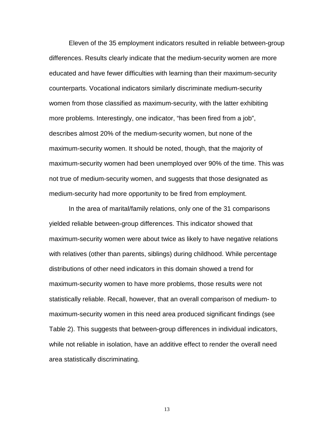Eleven of the 35 employment indicators resulted in reliable between-group differences. Results clearly indicate that the medium-security women are more educated and have fewer difficulties with learning than their maximum-security counterparts. Vocational indicators similarly discriminate medium-security women from those classified as maximum-security, with the latter exhibiting more problems. Interestingly, one indicator, "has been fired from a job", describes almost 20% of the medium-security women, but none of the maximum-security women. It should be noted, though, that the majority of maximum-security women had been unemployed over 90% of the time. This was not true of medium-security women, and suggests that those designated as medium-security had more opportunity to be fired from employment.

In the area of marital/family relations, only one of the 31 comparisons yielded reliable between-group differences. This indicator showed that maximum-security women were about twice as likely to have negative relations with relatives (other than parents, siblings) during childhood. While percentage distributions of other need indicators in this domain showed a trend for maximum-security women to have more problems, those results were not statistically reliable. Recall, however, that an overall comparison of medium- to maximum-security women in this need area produced significant findings (see Table 2). This suggests that between-group differences in individual indicators, while not reliable in isolation, have an additive effect to render the overall need area statistically discriminating.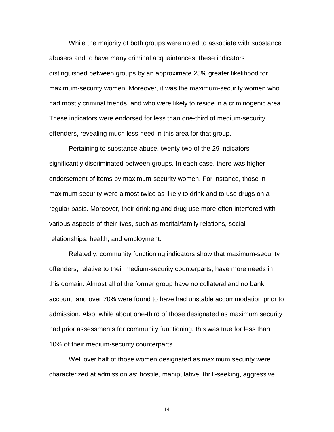While the majority of both groups were noted to associate with substance abusers and to have many criminal acquaintances, these indicators distinguished between groups by an approximate 25% greater likelihood for maximum-security women. Moreover, it was the maximum-security women who had mostly criminal friends, and who were likely to reside in a criminogenic area. These indicators were endorsed for less than one-third of medium-security offenders, revealing much less need in this area for that group.

Pertaining to substance abuse, twenty-two of the 29 indicators significantly discriminated between groups. In each case, there was higher endorsement of items by maximum-security women. For instance, those in maximum security were almost twice as likely to drink and to use drugs on a regular basis. Moreover, their drinking and drug use more often interfered with various aspects of their lives, such as marital/family relations, social relationships, health, and employment.

Relatedly, community functioning indicators show that maximum-security offenders, relative to their medium-security counterparts, have more needs in this domain. Almost all of the former group have no collateral and no bank account, and over 70% were found to have had unstable accommodation prior to admission. Also, while about one-third of those designated as maximum security had prior assessments for community functioning, this was true for less than 10% of their medium-security counterparts.

Well over half of those women designated as maximum security were characterized at admission as: hostile, manipulative, thrill-seeking, aggressive,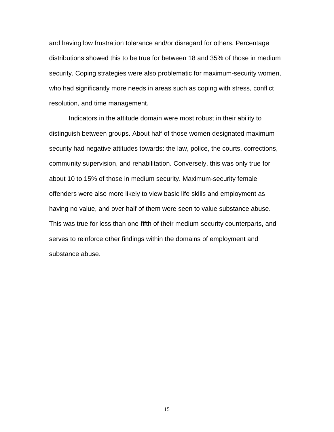and having low frustration tolerance and/or disregard for others. Percentage distributions showed this to be true for between 18 and 35% of those in medium security. Coping strategies were also problematic for maximum-security women, who had significantly more needs in areas such as coping with stress, conflict resolution, and time management.

Indicators in the attitude domain were most robust in their ability to distinguish between groups. About half of those women designated maximum security had negative attitudes towards: the law, police, the courts, corrections, community supervision, and rehabilitation. Conversely, this was only true for about 10 to 15% of those in medium security. Maximum-security female offenders were also more likely to view basic life skills and employment as having no value, and over half of them were seen to value substance abuse. This was true for less than one-fifth of their medium-security counterparts, and serves to reinforce other findings within the domains of employment and substance abuse.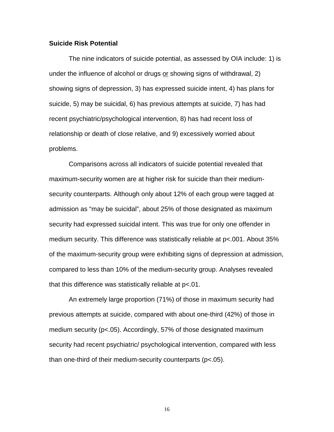#### **Suicide Risk Potential**

The nine indicators of suicide potential, as assessed by OIA include: 1) is under the influence of alcohol or drugs or showing signs of withdrawal, 2) showing signs of depression, 3) has expressed suicide intent, 4) has plans for suicide, 5) may be suicidal, 6) has previous attempts at suicide, 7) has had recent psychiatric/psychological intervention, 8) has had recent loss of relationship or death of close relative, and 9) excessively worried about problems.

Comparisons across all indicators of suicide potential revealed that maximum-security women are at higher risk for suicide than their mediumsecurity counterparts. Although only about 12% of each group were tagged at admission as "may be suicidal", about 25% of those designated as maximum security had expressed suicidal intent. This was true for only one offender in medium security. This difference was statistically reliable at p<.001. About 35% of the maximum-security group were exhibiting signs of depression at admission, compared to less than 10% of the medium-security group. Analyses revealed that this difference was statistically reliable at p<.01.

An extremely large proportion (71%) of those in maximum security had previous attempts at suicide, compared with about one-third (42%) of those in medium security (p<.05). Accordingly, 57% of those designated maximum security had recent psychiatric/ psychological intervention, compared with less than one-third of their medium-security counterparts (p<.05).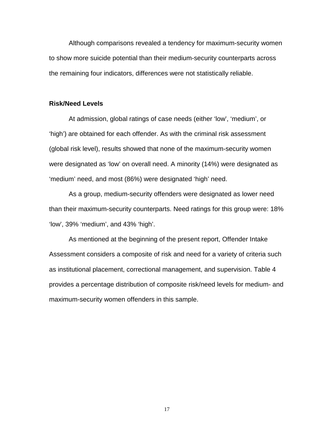Although comparisons revealed a tendency for maximum-security women to show more suicide potential than their medium-security counterparts across the remaining four indicators, differences were not statistically reliable.

#### **Risk/Need Levels**

At admission, global ratings of case needs (either 'low', 'medium', or 'high') are obtained for each offender. As with the criminal risk assessment (global risk level), results showed that none of the maximum-security women were designated as 'low' on overall need. A minority (14%) were designated as 'medium' need, and most (86%) were designated 'high' need.

As a group, medium-security offenders were designated as lower need than their maximum-security counterparts. Need ratings for this group were: 18% 'low', 39% 'medium', and 43% 'high'.

As mentioned at the beginning of the present report, Offender Intake Assessment considers a composite of risk and need for a variety of criteria such as institutional placement, correctional management, and supervision. Table 4 provides a percentage distribution of composite risk/need levels for medium- and maximum-security women offenders in this sample.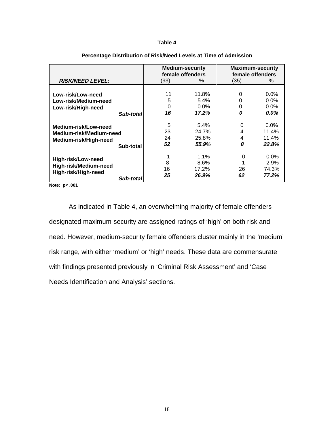#### **Table 4**

|                                                                          |           | <b>Medium-security</b><br>female offenders |         | <b>Maximum-security</b><br>female offenders |         |
|--------------------------------------------------------------------------|-----------|--------------------------------------------|---------|---------------------------------------------|---------|
| <b>RISK/NEED LEVEL:</b>                                                  |           | (93)                                       | %       | (35)                                        | ℅       |
|                                                                          |           |                                            |         |                                             |         |
| Low-risk/Low-need                                                        |           | 11                                         | 11.8%   | 0                                           | $0.0\%$ |
| Low-risk/Medium-need                                                     |           | 5                                          | 5.4%    | 0                                           | $0.0\%$ |
| Low-risk/High-need                                                       |           | 0                                          | $0.0\%$ | 0                                           | $0.0\%$ |
|                                                                          | Sub-total | 16                                         | 17.2%   | 0                                           | $0.0\%$ |
| Medium-risk/Low-need<br>Medium-risk/Medium-need<br>Medium-risk/High-need |           | 5                                          | $5.4\%$ | 0                                           | $0.0\%$ |
|                                                                          |           | 23                                         | 24.7%   | 4                                           | 11.4%   |
|                                                                          |           | 24                                         | 25.8%   | 4                                           | 11.4%   |
|                                                                          | Sub-total | 52                                         | 55.9%   | 8                                           | 22.8%   |
| <b>High-risk/Low-need</b>                                                |           |                                            | $1.1\%$ | 0                                           | $0.0\%$ |
|                                                                          |           | 8                                          | $8.6\%$ |                                             | 2.9%    |
| High-risk/Medium-need                                                    |           | 16                                         | 17.2%   | 26                                          | 74.3%   |
| High-risk/High-need                                                      | Sub-total | 25                                         | 26.9%   | 62                                          | 77.2%   |

#### **Percentage Distribution of Risk/Need Levels at Time of Admission**

**Note: p< .001**

As indicated in Table 4, an overwhelming majority of female offenders designated maximum-security are assigned ratings of 'high' on both risk and need. However, medium-security female offenders cluster mainly in the 'medium' risk range, with either 'medium' or 'high' needs. These data are commensurate with findings presented previously in 'Criminal Risk Assessment' and 'Case Needs Identification and Analysis' sections.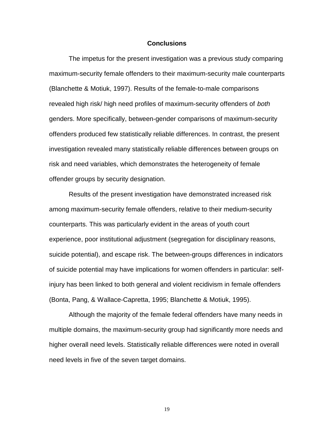#### **Conclusions**

The impetus for the present investigation was a previous study comparing maximum-security female offenders to their maximum-security male counterparts (Blanchette & Motiuk, 1997). Results of the female-to-male comparisons revealed high risk/ high need profiles of maximum-security offenders of both genders. More specifically, between-gender comparisons of maximum-security offenders produced few statistically reliable differences. In contrast, the present investigation revealed many statistically reliable differences between groups on risk and need variables, which demonstrates the heterogeneity of female offender groups by security designation.

Results of the present investigation have demonstrated increased risk among maximum-security female offenders, relative to their medium-security counterparts. This was particularly evident in the areas of youth court experience, poor institutional adjustment (segregation for disciplinary reasons, suicide potential), and escape risk. The between-groups differences in indicators of suicide potential may have implications for women offenders in particular: selfinjury has been linked to both general and violent recidivism in female offenders (Bonta, Pang, & Wallace-Capretta, 1995; Blanchette & Motiuk, 1995).

Although the majority of the female federal offenders have many needs in multiple domains, the maximum-security group had significantly more needs and higher overall need levels. Statistically reliable differences were noted in overall need levels in five of the seven target domains.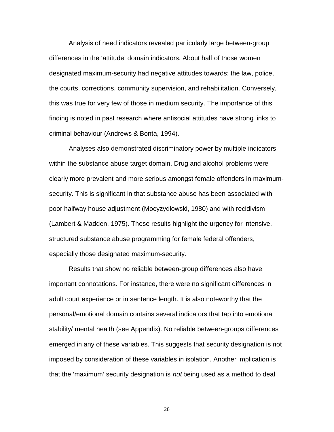Analysis of need indicators revealed particularly large between-group differences in the 'attitude' domain indicators. About half of those women designated maximum-security had negative attitudes towards: the law, police, the courts, corrections, community supervision, and rehabilitation. Conversely, this was true for very few of those in medium security. The importance of this finding is noted in past research where antisocial attitudes have strong links to criminal behaviour (Andrews & Bonta, 1994).

Analyses also demonstrated discriminatory power by multiple indicators within the substance abuse target domain. Drug and alcohol problems were clearly more prevalent and more serious amongst female offenders in maximumsecurity. This is significant in that substance abuse has been associated with poor halfway house adjustment (Mocyzydlowski, 1980) and with recidivism (Lambert & Madden, 1975). These results highlight the urgency for intensive, structured substance abuse programming for female federal offenders, especially those designated maximum-security.

Results that show no reliable between-group differences also have important connotations. For instance, there were no significant differences in adult court experience or in sentence length. It is also noteworthy that the personal/emotional domain contains several indicators that tap into emotional stability/ mental health (see Appendix). No reliable between-groups differences emerged in any of these variables. This suggests that security designation is not imposed by consideration of these variables in isolation. Another implication is that the 'maximum' security designation is not being used as a method to deal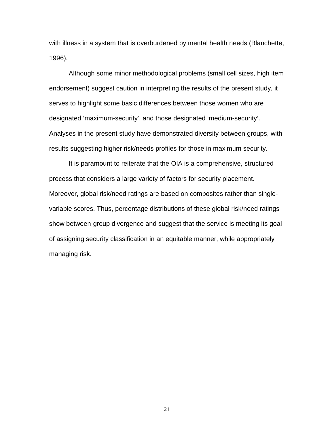with illness in a system that is overburdened by mental health needs (Blanchette, 1996).

Although some minor methodological problems (small cell sizes, high item endorsement) suggest caution in interpreting the results of the present study, it serves to highlight some basic differences between those women who are designated 'maximum-security', and those designated 'medium-security'. Analyses in the present study have demonstrated diversity between groups, with results suggesting higher risk/needs profiles for those in maximum security.

It is paramount to reiterate that the OIA is a comprehensive, structured process that considers a large variety of factors for security placement. Moreover, global risk/need ratings are based on composites rather than singlevariable scores. Thus, percentage distributions of these global risk/need ratings show between-group divergence and suggest that the service is meeting its goal of assigning security classification in an equitable manner, while appropriately managing risk.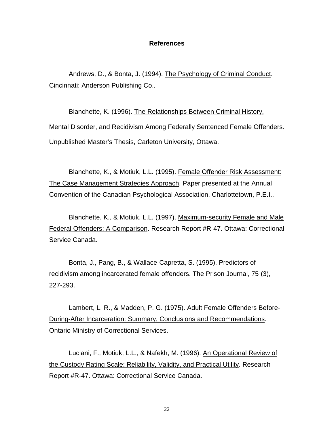## **References**

Andrews, D., & Bonta, J. (1994). The Psychology of Criminal Conduct. Cincinnati: Anderson Publishing Co..

Blanchette, K. (1996). The Relationships Between Criminal History, Mental Disorder, and Recidivism Among Federally Sentenced Female Offenders. Unpublished Master's Thesis, Carleton University, Ottawa.

Blanchette, K., & Motiuk, L.L. (1995). Female Offender Risk Assessment: The Case Management Strategies Approach. Paper presented at the Annual Convention of the Canadian Psychological Association, Charlottetown, P.E.I..

Blanchette, K., & Motiuk, L.L. (1997). Maximum-security Female and Male Federal Offenders: A Comparison. Research Report #R-47. Ottawa: Correctional Service Canada.

Bonta, J., Pang, B., & Wallace-Capretta, S. (1995). Predictors of recidivism among incarcerated female offenders. The Prison Journal, 75 (3), 227-293.

Lambert, L. R., & Madden, P. G. (1975). Adult Female Offenders Before-During-After Incarceration: Summary, Conclusions and Recommendations. Ontario Ministry of Correctional Services.

Luciani, F., Motiuk, L.L., & Nafekh, M. (1996). An Operational Review of the Custody Rating Scale: Reliability, Validity, and Practical Utility. Research Report #R-47. Ottawa: Correctional Service Canada.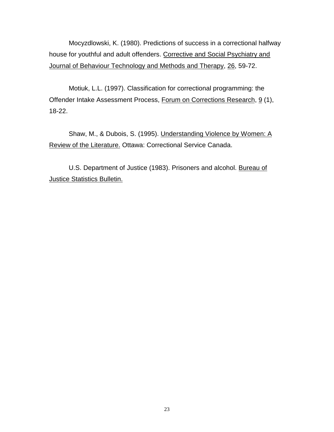Mocyzdlowski, K. (1980). Predictions of success in a correctional halfway house for youthful and adult offenders. Corrective and Social Psychiatry and Journal of Behaviour Technology and Methods and Therapy, 26, 59-72.

Motiuk, L.L. (1997). Classification for correctional programming: the Offender Intake Assessment Process, Forum on Corrections Research, 9 (1), 18-22.

Shaw, M., & Dubois, S. (1995). Understanding Violence by Women: A Review of the Literature. Ottawa: Correctional Service Canada.

U.S. Department of Justice (1983). Prisoners and alcohol. Bureau of Justice Statistics Bulletin.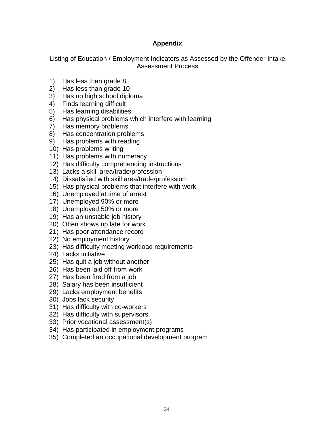## **Appendix**

Listing of Education / Employment Indicators as Assessed by the Offender Intake Assessment Process

- 1) Has less than grade 8
- 2) Has less than grade 10
- 3) Has no high school diploma
- 4) Finds learning difficult
- 5) Has learning disabilities
- 6) Has physical problems which interfere with learning
- 7) Has memory problems
- 8) Has concentration problems
- 9) Has problems with reading
- 10) Has problems writing
- 11) Has problems with numeracy
- 12) Has difficulty comprehending instructions
- 13) Lacks a skill area/trade/profession
- 14) Dissatisfied with skill area/trade/profession
- 15) Has physical problems that interfere with work
- 16) Unemployed at time of arrest
- 17) Unemployed 90% or more
- 18) Unemployed 50% or more
- 19) Has an unstable job history
- 20) Often shows up late for work
- 21) Has poor attendance record
- 22) No employment history
- 23) Has difficulty meeting workload requirements
- 24) Lacks initiative
- 25) Has quit a job without another
- 26) Has been laid off from work
- 27) Has been fired from a job
- 28) Salary has been insufficient
- 29) Lacks employment benefits
- 30) Jobs lack security
- 31) Has difficulty with co-workers
- 32) Has difficulty with supervisors
- 33) Prior vocational assessment(s)
- 34) Has participated in employment programs
- 35) Completed an occupational development program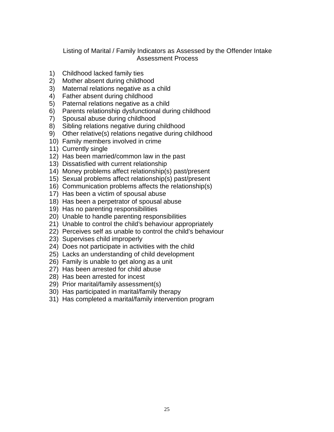## Listing of Marital / Family Indicators as Assessed by the Offender Intake Assessment Process

- 1) Childhood lacked family ties
- 2) Mother absent during childhood
- 3) Maternal relations negative as a child
- 4) Father absent during childhood
- 5) Paternal relations negative as a child
- 6) Parents relationship dysfunctional during childhood
- 7) Spousal abuse during childhood
- 8) Sibling relations negative during childhood
- 9) Other relative(s) relations negative during childhood
- 10) Family members involved in crime
- 11) Currently single
- 12) Has been married/common law in the past
- 13) Dissatisfied with current relationship
- 14) Money problems affect relationship(s) past/present
- 15) Sexual problems affect relationship(s) past/present
- 16) Communication problems affects the relationship(s)
- 17) Has been a victim of spousal abuse
- 18) Has been a perpetrator of spousal abuse
- 19) Has no parenting responsibilities
- 20) Unable to handle parenting responsibilities
- 21) Unable to control the child's behaviour appropriately
- 22) Perceives self as unable to control the child's behaviour
- 23) Supervises child improperly
- 24) Does not participate in activities with the child
- 25) Lacks an understanding of child development
- 26) Family is unable to get along as a unit
- 27) Has been arrested for child abuse
- 28) Has been arrested for incest
- 29) Prior marital/family assessment(s)
- 30) Has participated in marital/family therapy
- 31) Has completed a marital/family intervention program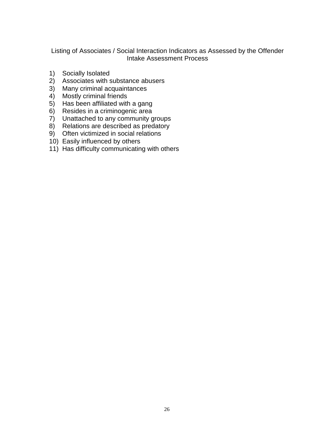Listing of Associates / Social Interaction Indicators as Assessed by the Offender Intake Assessment Process

- 1) Socially Isolated
- 2) Associates with substance abusers
- 3) Many criminal acquaintances
- 4) Mostly criminal friends
- 5) Has been affiliated with a gang
- 6) Resides in a criminogenic area
- 7) Unattached to any community groups
- 8) Relations are described as predatory
- 9) Often victimized in social relations
- 10) Easily influenced by others
- 11) Has difficulty communicating with others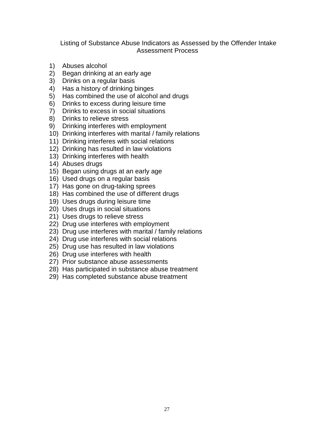## Listing of Substance Abuse Indicators as Assessed by the Offender Intake Assessment Process

- 1) Abuses alcohol
- 2) Began drinking at an early age
- 3) Drinks on a regular basis
- 4) Has a history of drinking binges
- 5) Has combined the use of alcohol and drugs
- 6) Drinks to excess during leisure time
- 7) Drinks to excess in social situations
- 8) Drinks to relieve stress
- 9) Drinking interferes with employment
- 10) Drinking interferes with marital / family relations
- 11) Drinking interferes with social relations
- 12) Drinking has resulted in law violations
- 13) Drinking interferes with health
- 14) Abuses drugs
- 15) Began using drugs at an early age
- 16) Used drugs on a regular basis
- 17) Has gone on drug-taking sprees
- 18) Has combined the use of different drugs
- 19) Uses drugs during leisure time
- 20) Uses drugs in social situations
- 21) Uses drugs to relieve stress
- 22) Drug use interferes with employment
- 23) Drug use interferes with marital / family relations
- 24) Drug use interferes with social relations
- 25) Drug use has resulted in law violations
- 26) Drug use interferes with health
- 27) Prior substance abuse assessments
- 28) Has participated in substance abuse treatment
- 29) Has completed substance abuse treatment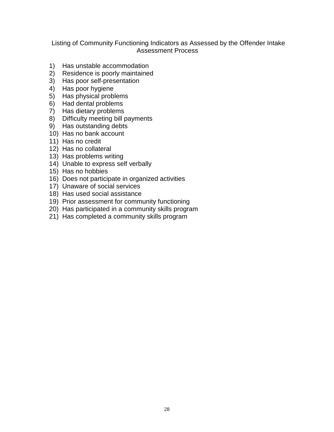## Listing of Community Functioning Indicators as Assessed by the Offender Intake Assessment Process

- 1) Has unstable accommodation
- 2) Residence is poorly maintained
- 3) Has poor self-presentation
- 4) Has poor hygiene
- 5) Has physical problems
- 6) Had dental problems
- 7) Has dietary problems
- 8) Difficulty meeting bill payments
- 9) Has outstanding debts
- 10) Has no bank account
- 11) Has no credit
- 12) Has no collateral
- 13) Has problems writing
- 14) Unable to express self verbally
- 15) Has no hobbies
- 16) Does not participate in organized activities
- 17) Unaware of social services
- 18) Has used social assistance
- 19) Prior assessment for community functioning
- 20) Has participated in a community skills program
- 21) Has completed a community skills program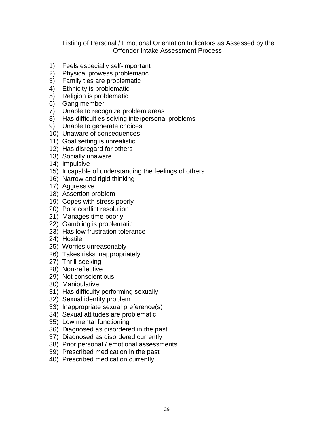## Listing of Personal / Emotional Orientation Indicators as Assessed by the Offender Intake Assessment Process

- 1) Feels especially self-important
- 2) Physical prowess problematic
- 3) Family ties are problematic
- 4) Ethnicity is problematic
- 5) Religion is problematic
- 6) Gang member
- 7) Unable to recognize problem areas
- 8) Has difficulties solving interpersonal problems
- 9) Unable to generate choices
- 10) Unaware of consequences
- 11) Goal setting is unrealistic
- 12) Has disregard for others
- 13) Socially unaware
- 14) Impulsive
- 15) Incapable of understanding the feelings of others
- 16) Narrow and rigid thinking
- 17) Aggressive
- 18) Assertion problem
- 19) Copes with stress poorly
- 20) Poor conflict resolution
- 21) Manages time poorly
- 22) Gambling is problematic
- 23) Has low frustration tolerance
- 24) Hostile
- 25) Worries unreasonably
- 26) Takes risks inappropriately
- 27) Thrill-seeking
- 28) Non-reflective
- 29) Not conscientious
- 30) Manipulative
- 31) Has difficulty performing sexually
- 32) Sexual identity problem
- 33) Inappropriate sexual preference(s)
- 34) Sexual attitudes are problematic
- 35) Low mental functioning
- 36) Diagnosed as disordered in the past
- 37) Diagnosed as disordered currently
- 38) Prior personal / emotional assessments
- 39) Prescribed medication in the past
- 40) Prescribed medication currently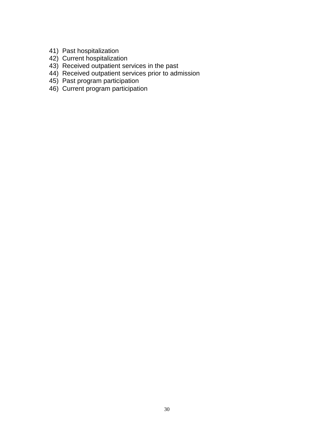- 41) Past hospitalization
- 42) Current hospitalization
- 43) Received outpatient services in the past
- 44) Received outpatient services prior to admission
- 45) Past program participation
- 46) Current program participation